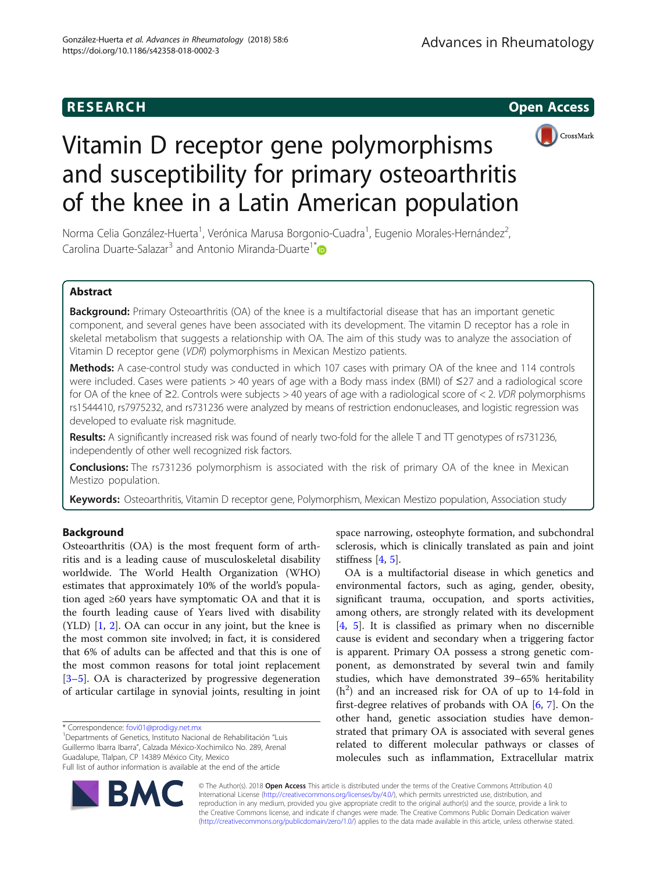



# Vitamin D receptor gene polymorphisms and susceptibility for primary osteoarthritis of the knee in a Latin American population

Norma Celia González-Huerta<sup>1</sup>, Verónica Marusa Borgonio-Cuadra<sup>1</sup>, Eugenio Morales-Hernández<sup>2</sup> , Carolina Duarte-Salazar<sup>3</sup> and Antonio Miranda-Duarte<sup>1[\\*](http://orcid.org/0000-0001-6530-4636)</sup>

# Abstract

Background: Primary Osteoarthritis (OA) of the knee is a multifactorial disease that has an important genetic component, and several genes have been associated with its development. The vitamin D receptor has a role in skeletal metabolism that suggests a relationship with OA. The aim of this study was to analyze the association of Vitamin D receptor gene (VDR) polymorphisms in Mexican Mestizo patients.

Methods: A case-control study was conducted in which 107 cases with primary OA of the knee and 114 controls were included. Cases were patients > 40 years of age with a Body mass index (BMI) of ≤27 and a radiological score for OA of the knee of ≥2. Controls were subjects > 40 years of age with a radiological score of < 2. VDR polymorphisms rs1544410, rs7975232, and rs731236 were analyzed by means of restriction endonucleases, and logistic regression was developed to evaluate risk magnitude.

Results: A significantly increased risk was found of nearly two-fold for the allele T and TT genotypes of rs731236, independently of other well recognized risk factors.

Conclusions: The rs731236 polymorphism is associated with the risk of primary OA of the knee in Mexican Mestizo population.

Keywords: Osteoarthritis, Vitamin D receptor gene, Polymorphism, Mexican Mestizo population, Association study

# Background

Osteoarthritis (OA) is the most frequent form of arthritis and is a leading cause of musculoskeletal disability worldwide. The World Health Organization (WHO) estimates that approximately 10% of the world's population aged ≥60 years have symptomatic OA and that it is the fourth leading cause of Years lived with disability (YLD) [[1,](#page-4-0) [2](#page-4-0)]. OA can occur in any joint, but the knee is the most common site involved; in fact, it is considered that 6% of adults can be affected and that this is one of the most common reasons for total joint replacement [[3](#page-4-0)–[5\]](#page-4-0). OA is characterized by progressive degeneration of articular cartilage in synovial joints, resulting in joint

<sup>1</sup>Departments of Genetics, Instituto Nacional de Rehabilitación "Luis Guillermo Ibarra Ibarra", Calzada México-Xochimilco No. 289, Arenal Guadalupe, Tlalpan, CP 14389 México City, Mexico Full list of author information is available at the end of the article

space narrowing, osteophyte formation, and subchondral sclerosis, which is clinically translated as pain and joint stiffness  $[4, 5]$  $[4, 5]$  $[4, 5]$  $[4, 5]$ .

OA is a multifactorial disease in which genetics and environmental factors, such as aging, gender, obesity, significant trauma, occupation, and sports activities, among others, are strongly related with its development [[4,](#page-4-0) [5](#page-4-0)]. It is classified as primary when no discernible cause is evident and secondary when a triggering factor is apparent. Primary OA possess a strong genetic component, as demonstrated by several twin and family studies, which have demonstrated 39–65% heritability  $(h<sup>2</sup>)$  and an increased risk for OA of up to 14-fold in first-degree relatives of probands with OA [[6](#page-4-0), [7\]](#page-4-0). On the other hand, genetic association studies have demonstrated that primary OA is associated with several genes related to different molecular pathways or classes of molecules such as inflammation, Extracellular matrix



© The Author(s). 2018 Open Access This article is distributed under the terms of the Creative Commons Attribution 4.0 International License [\(http://creativecommons.org/licenses/by/4.0/](http://creativecommons.org/licenses/by/4.0/)), which permits unrestricted use, distribution, and reproduction in any medium, provided you give appropriate credit to the original author(s) and the source, provide a link to the Creative Commons license, and indicate if changes were made. The Creative Commons Public Domain Dedication waiver [\(http://creativecommons.org/publicdomain/zero/1.0/](http://creativecommons.org/publicdomain/zero/1.0/)) applies to the data made available in this article, unless otherwise stated.

<sup>\*</sup> Correspondence: [fovi01@prodigy.net.mx](mailto:fovi01@prodigy.net.mx) <sup>1</sup>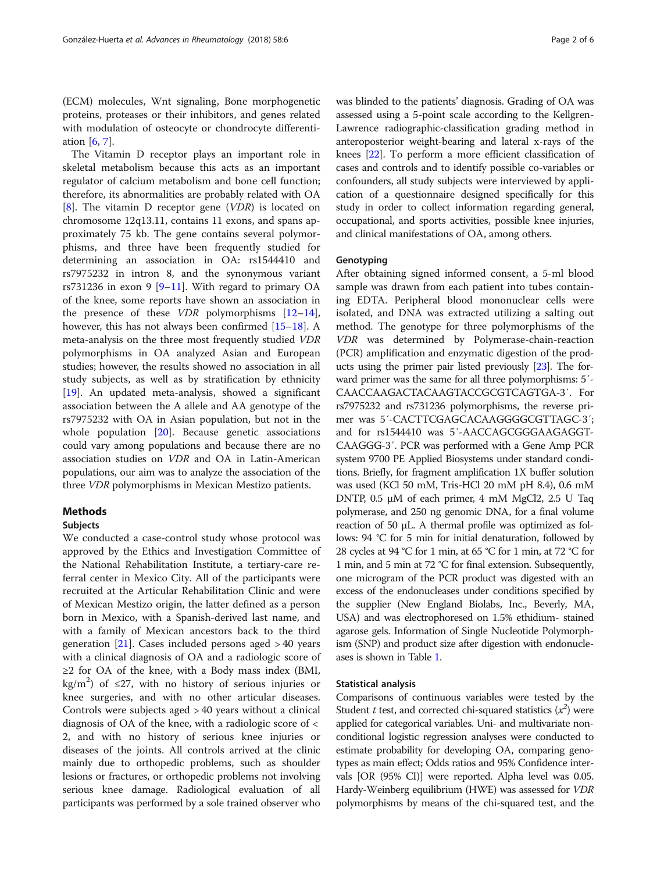(ECM) molecules, Wnt signaling, Bone morphogenetic proteins, proteases or their inhibitors, and genes related with modulation of osteocyte or chondrocyte differentiation [\[6](#page-4-0), [7](#page-4-0)].

The Vitamin D receptor plays an important role in skeletal metabolism because this acts as an important regulator of calcium metabolism and bone cell function; therefore, its abnormalities are probably related with OA [[8\]](#page-4-0). The vitamin D receptor gene  $(VDR)$  is located on chromosome 12q13.11, contains 11 exons, and spans approximately 75 kb. The gene contains several polymorphisms, and three have been frequently studied for determining an association in OA: rs1544410 and rs7975232 in intron 8, and the synonymous variant rs731236 in exon 9  $[9-11]$  $[9-11]$  $[9-11]$ . With regard to primary OA of the knee, some reports have shown an association in the presence of these *VDR* polymorphisms  $[12-14]$  $[12-14]$  $[12-14]$  $[12-14]$  $[12-14]$ , however, this has not always been confirmed [\[15](#page-4-0)–[18\]](#page-4-0). A meta-analysis on the three most frequently studied VDR polymorphisms in OA analyzed Asian and European studies; however, the results showed no association in all study subjects, as well as by stratification by ethnicity [[19\]](#page-4-0). An updated meta-analysis, showed a significant association between the A allele and AA genotype of the rs7975232 with OA in Asian population, but not in the whole population [[20\]](#page-4-0). Because genetic associations could vary among populations and because there are no association studies on VDR and OA in Latin-American populations, our aim was to analyze the association of the three VDR polymorphisms in Mexican Mestizo patients.

# Methods

# Subjects

We conducted a case-control study whose protocol was approved by the Ethics and Investigation Committee of the National Rehabilitation Institute, a tertiary-care referral center in Mexico City. All of the participants were recruited at the Articular Rehabilitation Clinic and were of Mexican Mestizo origin, the latter defined as a person born in Mexico, with a Spanish-derived last name, and with a family of Mexican ancestors back to the third generation [[21\]](#page-4-0). Cases included persons aged  $> 40$  years with a clinical diagnosis of OA and a radiologic score of  $\geq$ 2 for OA of the knee, with a Body mass index (BMI, kg/m<sup>2</sup>) of  $\leq$ 27, with no history of serious injuries or knee surgeries, and with no other articular diseases. Controls were subjects aged > 40 years without a clinical diagnosis of OA of the knee, with a radiologic score of < 2, and with no history of serious knee injuries or diseases of the joints. All controls arrived at the clinic mainly due to orthopedic problems, such as shoulder lesions or fractures, or orthopedic problems not involving serious knee damage. Radiological evaluation of all participants was performed by a sole trained observer who was blinded to the patients' diagnosis. Grading of OA was assessed using a 5-point scale according to the Kellgren-Lawrence radiographic-classification grading method in anteroposterior weight-bearing and lateral x-rays of the knees [\[22](#page-4-0)]. To perform a more efficient classification of cases and controls and to identify possible co-variables or confounders, all study subjects were interviewed by application of a questionnaire designed specifically for this study in order to collect information regarding general, occupational, and sports activities, possible knee injuries, and clinical manifestations of OA, among others.

## Genotyping

After obtaining signed informed consent, a 5-ml blood sample was drawn from each patient into tubes containing EDTA. Peripheral blood mononuclear cells were isolated, and DNA was extracted utilizing a salting out method. The genotype for three polymorphisms of the VDR was determined by Polymerase-chain-reaction (PCR) amplification and enzymatic digestion of the products using the primer pair listed previously [\[23\]](#page-4-0). The forward primer was the same for all three polymorphisms: 5´- CAACCAAGACTACAAGTACCGCGTCAGTGA-3′. For rs7975232 and rs731236 polymorphisms, the reverse primer was 5´-CACTTCGAGCACAAGGGGCGTTAGC-3′; and for rs1544410 was 5´-AACCAGCGGGAAGAGGT-CAAGGG-3′. PCR was performed with a Gene Amp PCR system 9700 PE Applied Biosystems under standard conditions. Briefly, for fragment amplification 1X buffer solution was used (KCl 50 mM, Tris-HCl 20 mM pH 8.4), 0.6 mM DNTP, 0.5 μM of each primer, 4 mM MgCl2, 2.5 U Taq polymerase, and 250 ng genomic DNA, for a final volume reaction of 50 μL. A thermal profile was optimized as follows: 94 °C for 5 min for initial denaturation, followed by 28 cycles at 94 °C for 1 min, at 65 °C for 1 min, at 72 °C for 1 min, and 5 min at 72 °C for final extension. Subsequently, one microgram of the PCR product was digested with an excess of the endonucleases under conditions specified by the supplier (New England Biolabs, Inc., Beverly, MA, USA) and was electrophoresed on 1.5% ethidium- stained agarose gels. Information of Single Nucleotide Polymorphism (SNP) and product size after digestion with endonucleases is shown in Table [1.](#page-2-0)

#### Statistical analysis

Comparisons of continuous variables were tested by the Student *t* test, and corrected chi-squared statistics  $(x^2)$  were applied for categorical variables. Uni- and multivariate nonconditional logistic regression analyses were conducted to estimate probability for developing OA, comparing genotypes as main effect; Odds ratios and 95% Confidence intervals [OR (95% CI)] were reported. Alpha level was 0.05. Hardy-Weinberg equilibrium (HWE) was assessed for VDR polymorphisms by means of the chi-squared test, and the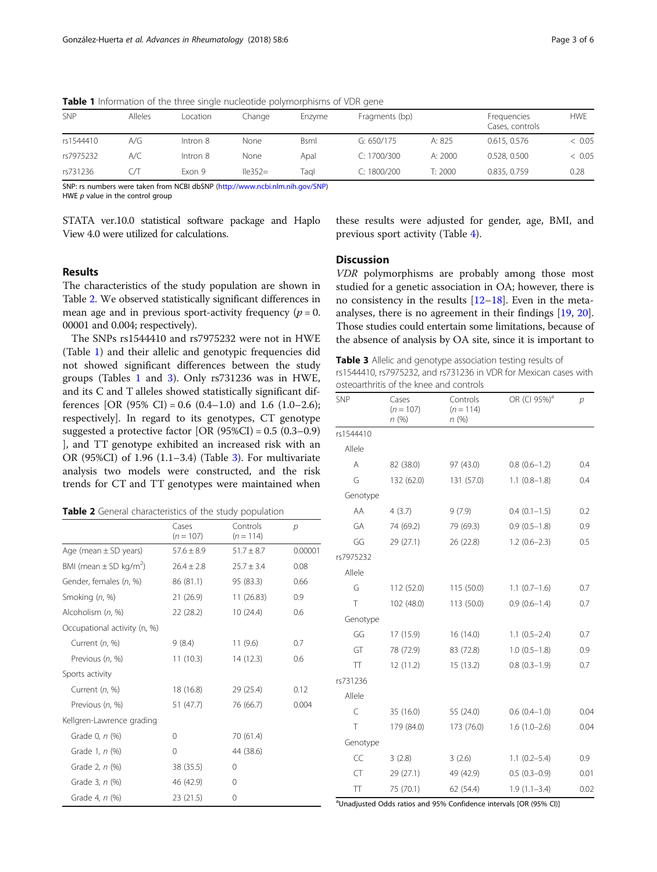| SNP       | Alleles | Location | Change    | Enzyme      | Fragments (bp) |         | Frequencies<br>Cases, controls | <b>HWE</b> |
|-----------|---------|----------|-----------|-------------|----------------|---------|--------------------------------|------------|
| rs1544410 | A/G     | Intron 8 | None      | <b>Bsml</b> | G: $650/175$   | A: 825  | 0.615, 0.576                   | & 0.05     |
| rs7975232 | A/C     | Intron 8 | None      | Apal        | C: 1700/300    | A: 2000 | 0.528, 0.500                   | < 0.05     |
| rs731236  | CЛ      | Fxon 9   | $lle352=$ | Taɑl        | C: 1800/200    | T: 2000 | 0.835, 0.759                   | 0.28       |

<span id="page-2-0"></span>Table 1 Information of the three single nucleotide polymorphisms of VDR gene

SNP: rs numbers were taken from NCBI dbSNP ([http://www.ncbi.nlm.nih.gov/SNP\)](http://www.ncbi.nlm.nih.gov/SNP)

HWE p value in the control group

STATA ver.10.0 statistical software package and Haplo View 4.0 were utilized for calculations.

these results were adjusted for gender, age, BMI, and previous sport activity (Table [4\)](#page-3-0).

# Results

The characteristics of the study population are shown in Table 2. We observed statistically significant differences in mean age and in previous sport-activity frequency ( $p = 0$ . 00001 and 0.004; respectively).

The SNPs rs1544410 and rs7975232 were not in HWE (Table 1) and their allelic and genotypic frequencies did not showed significant differences between the study groups (Tables 1 and 3). Only rs731236 was in HWE, and its C and T alleles showed statistically significant differences [OR (95% CI) = 0.6 (0.4–1.0) and 1.6 (1.0–2.6); respectively]. In regard to its genotypes, CT genotype suggested a protective factor  $[OR (95%CI) = 0.5 (0.3-0.9)]$ ], and TT genotype exhibited an increased risk with an OR (95%CI) of 1.96 (1.1–3.4) (Table 3). For multivariate analysis two models were constructed, and the risk trends for CT and TT genotypes were maintained when

|                                        | Cases<br>$(n = 107)$ | Controls<br>$(n = 114)$ | р       |
|----------------------------------------|----------------------|-------------------------|---------|
| Age (mean $\pm$ SD years)              | $57.6 \pm 8.9$       | $51.7 \pm 8.7$          | 0.00001 |
| BMI (mean $\pm$ SD kg/m <sup>2</sup> ) | $26.4 \pm 2.8$       | $25.7 \pm 3.4$          | 0.08    |
| Gender, females (n, %)                 | 86 (81.1)            | 95 (83.3)               | 0.66    |
| Smoking (n, %)                         | 21(26.9)             | 11(26.83)               | 0.9     |
| Alcoholism (n, %)                      | 22(28.2)             | 10(24.4)                | 0.6     |
| Occupational activity (n, %)           |                      |                         |         |
| Current (n, %)                         | 9(8.4)               | 11(9.6)                 | 0.7     |
| Previous (n, %)                        | 11(10.3)             | 14 (12.3)               | 0.6     |
| Sports activity                        |                      |                         |         |
| Current (n, %)                         | 18 (16.8)            | 29 (25.4)               | 0.12    |
| Previous (n, %)                        | 51 (47.7)            | 76 (66.7)               | 0.004   |
| Kellgren-Lawrence grading              |                      |                         |         |
| Grade 0, n (%)                         | 0                    | 70 (61.4)               |         |
| Grade 1, n (%)                         | 0                    | 44 (38.6)               |         |
| Grade 2, n (%)                         | 38 (35.5)            | 0                       |         |
| Grade 3, n (%)                         | 46 (42.9)            | 0                       |         |
| Grade 4, n (%)                         | 23 (21.5)            | 0                       |         |

# **Discussion**

VDR polymorphisms are probably among those most studied for a genetic association in OA; however, there is no consistency in the results [[12](#page-4-0)–[18](#page-4-0)]. Even in the metaanalyses, there is no agreement in their findings [\[19](#page-4-0), [20](#page-4-0)]. Those studies could entertain some limitations, because of the absence of analysis by OA site, since it is important to

Table 3 Allelic and genotype association testing results of rs1544410, rs7975232, and rs731236 in VDR for Mexican cases with osteoarthritis of the knee and controls

| SNP       | Cases<br>$(n = 107)$<br>n(%) | Controls<br>$(n = 114)$<br>n(%) | OR (CI 95%) <sup>a</sup> | $\overline{p}$ |
|-----------|------------------------------|---------------------------------|--------------------------|----------------|
| rs1544410 |                              |                                 |                          |                |
| Allele    |                              |                                 |                          |                |
| A         | 82 (38.0)                    | 97 (43.0)                       | $0.8(0.6-1.2)$           | 0.4            |
| G         | 132 (62.0)                   | 131 (57.0)                      | $1.1(0.8-1.8)$           | 0.4            |
| Genotype  |                              |                                 |                          |                |
| AA        | 4(3.7)                       | 9(7.9)                          | $0.4(0.1-1.5)$           | 0.2            |
| GA        | 74 (69.2)                    | 79 (69.3)                       | $0.9(0.5-1.8)$           | 0.9            |
| GG        | 29 (27.1)                    | 26 (22.8)                       | $1.2(0.6-2.3)$           | 0.5            |
| rs7975232 |                              |                                 |                          |                |
| Allele    |                              |                                 |                          |                |
| G         | 112 (52.0)                   | 115 (50.0)                      | $1.1(0.7-1.6)$           | 0.7            |
| T         | 102 (48.0)                   | 113 (50.0)                      | $0.9(0.6 - 1.4)$         | 0.7            |
| Genotype  |                              |                                 |                          |                |
| GG        | 17 (15.9)                    | 16(14.0)                        | $1.1(0.5-2.4)$           | 0.7            |
| GT        | 78 (72.9)                    | 83 (72.8)                       | $1.0(0.5-1.8)$           | 0.9            |
| TT        | 12 (11.2)                    | 15 (13.2)                       | $0.8(0.3-1.9)$           | 0.7            |
| rs731236  |                              |                                 |                          |                |
| Allele    |                              |                                 |                          |                |
| C         | 35 (16.0)                    | 55 (24.0)                       | $0.6(0.4-1.0)$           | 0.04           |
| T         | 179 (84.0)                   | 173 (76.0)                      | $1.6(1.0-2.6)$           | 0.04           |
| Genotype  |                              |                                 |                          |                |
| CC        | 3(2.8)                       | 3(2.6)                          | $1.1(0.2-5.4)$           | 0.9            |
| CT        | 29 (27.1)                    | 49 (42.9)                       | $0.5(0.3-0.9)$           | 0.01           |
| Π         | 75 (70.1)                    | 62 (54.4)                       | $1.9(1.1 - 3.4)$         | 0.02           |

<sup>a</sup>Unadjusted Odds ratios and 95% Confidence intervals [OR (95% CI)]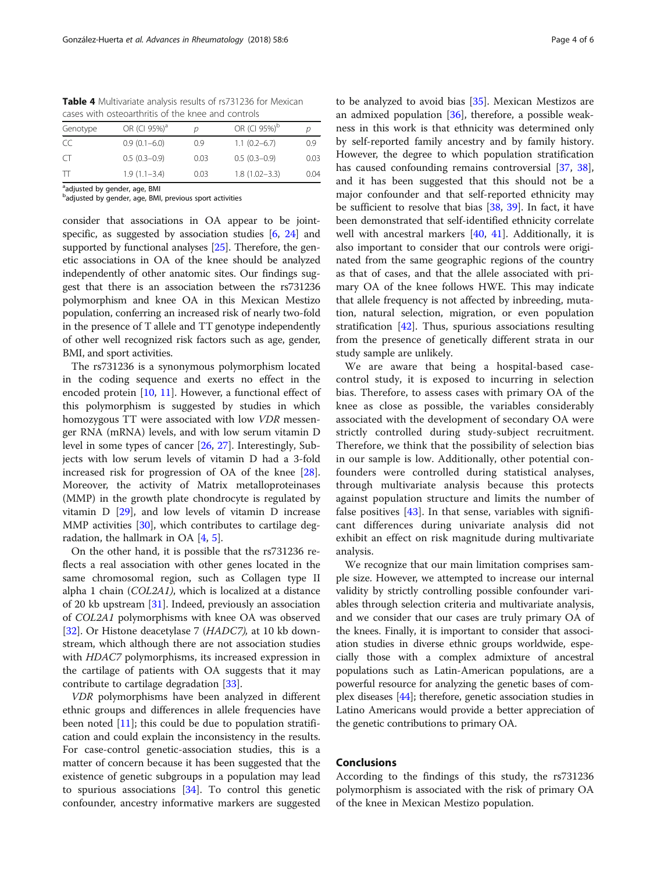<span id="page-3-0"></span>Table 4 Multivariate analysis results of rs731236 for Mexican cases with osteoarthritis of the knee and controls

| Genotype  | OR (CI 95%) <sup>a</sup> |      | OR (CI 95%) <sup>b</sup> |      |
|-----------|--------------------------|------|--------------------------|------|
| CC        | $0.9(0.1 - 6.0)$         | 0.9  | $1.1(0.2-6.7)$           | 0.9  |
| $\subset$ | $0.5(0.3-0.9)$           | 0.03 | $0.5(0.3-0.9)$           | 0.03 |
| T         | $1.9(1.1 - 3.4)$         | 0.03 | $1.8(1.02 - 3.3)$        | 0.04 |

<sup>a</sup>adjusted by gender, age, BMI

<sup>b</sup>adjusted by gender, age, BMI, previous sport activities

consider that associations in OA appear to be jointspecific, as suggested by association studies [[6,](#page-4-0) [24\]](#page-4-0) and supported by functional analyses [[25](#page-4-0)]. Therefore, the genetic associations in OA of the knee should be analyzed independently of other anatomic sites. Our findings suggest that there is an association between the rs731236 polymorphism and knee OA in this Mexican Mestizo population, conferring an increased risk of nearly two-fold in the presence of T allele and TT genotype independently of other well recognized risk factors such as age, gender, BMI, and sport activities.

The rs731236 is a synonymous polymorphism located in the coding sequence and exerts no effect in the encoded protein [\[10,](#page-4-0) [11](#page-4-0)]. However, a functional effect of this polymorphism is suggested by studies in which homozygous TT were associated with low VDR messenger RNA (mRNA) levels, and with low serum vitamin D level in some types of cancer [\[26,](#page-4-0) [27\]](#page-4-0). Interestingly, Subjects with low serum levels of vitamin D had a 3-fold increased risk for progression of OA of the knee [\[28](#page-4-0)]. Moreover, the activity of Matrix metalloproteinases (MMP) in the growth plate chondrocyte is regulated by vitamin  $D$   $[29]$ , and low levels of vitamin  $D$  increase MMP activities [\[30](#page-4-0)], which contributes to cartilage degradation, the hallmark in OA  $[4, 5]$  $[4, 5]$  $[4, 5]$  $[4, 5]$ .

On the other hand, it is possible that the rs731236 reflects a real association with other genes located in the same chromosomal region, such as Collagen type II alpha 1 chain (COL2A1), which is localized at a distance of 20 kb upstream [\[31](#page-4-0)]. Indeed, previously an association of COL2A1 polymorphisms with knee OA was observed [[32\]](#page-4-0). Or Histone deacetylase 7 (HADC7), at 10 kb downstream, which although there are not association studies with HDAC7 polymorphisms, its increased expression in the cartilage of patients with OA suggests that it may contribute to cartilage degradation [[33\]](#page-4-0).

VDR polymorphisms have been analyzed in different ethnic groups and differences in allele frequencies have been noted  $[11]$  $[11]$ ; this could be due to population stratification and could explain the inconsistency in the results. For case-control genetic-association studies, this is a matter of concern because it has been suggested that the existence of genetic subgroups in a population may lead to spurious associations [\[34](#page-4-0)]. To control this genetic confounder, ancestry informative markers are suggested

to be analyzed to avoid bias [[35\]](#page-4-0). Mexican Mestizos are an admixed population  $[36]$ , therefore, a possible weakness in this work is that ethnicity was determined only by self-reported family ancestry and by family history. However, the degree to which population stratification has caused confounding remains controversial [\[37,](#page-5-0) [38](#page-5-0)], and it has been suggested that this should not be a major confounder and that self-reported ethnicity may be sufficient to resolve that bias [\[38,](#page-5-0) [39](#page-5-0)]. In fact, it have been demonstrated that self-identified ethnicity correlate well with ancestral markers [\[40](#page-5-0), [41\]](#page-5-0). Additionally, it is also important to consider that our controls were originated from the same geographic regions of the country as that of cases, and that the allele associated with primary OA of the knee follows HWE. This may indicate that allele frequency is not affected by inbreeding, mutation, natural selection, migration, or even population stratification [[42](#page-5-0)]. Thus, spurious associations resulting from the presence of genetically different strata in our study sample are unlikely.

We are aware that being a hospital-based casecontrol study, it is exposed to incurring in selection bias. Therefore, to assess cases with primary OA of the knee as close as possible, the variables considerably associated with the development of secondary OA were strictly controlled during study-subject recruitment. Therefore, we think that the possibility of selection bias in our sample is low. Additionally, other potential confounders were controlled during statistical analyses, through multivariate analysis because this protects against population structure and limits the number of false positives  $[43]$  $[43]$ . In that sense, variables with significant differences during univariate analysis did not exhibit an effect on risk magnitude during multivariate analysis.

We recognize that our main limitation comprises sample size. However, we attempted to increase our internal validity by strictly controlling possible confounder variables through selection criteria and multivariate analysis, and we consider that our cases are truly primary OA of the knees. Finally, it is important to consider that association studies in diverse ethnic groups worldwide, especially those with a complex admixture of ancestral populations such as Latin-American populations, are a powerful resource for analyzing the genetic bases of complex diseases [\[44\]](#page-5-0); therefore, genetic association studies in Latino Americans would provide a better appreciation of the genetic contributions to primary OA.

# Conclusions

According to the findings of this study, the rs731236 polymorphism is associated with the risk of primary OA of the knee in Mexican Mestizo population.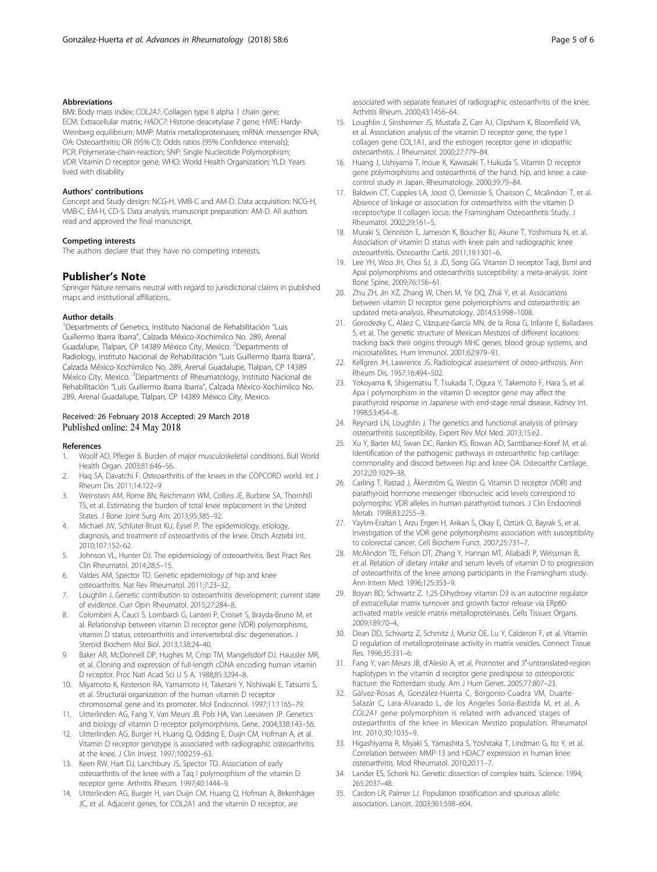## <span id="page-4-0"></span>Abbreviations

BMI: Body mass index; COL2A1: Collagen type II alpha 1 chain gene; ECM: Extracellular matrix; HADC7: Histone deacetylase 7 gene; HWE: Hardy-Weinberg equilibrium; MMP: Matrix metalloproteinases; mRNA: messenger RNA; OA: Osteoarthritis; OR (95% CI): Odds ratios (95% Confidence intervals); PCR: Polymerase-chain-reaction; SNP: Single Nucleotide Polymorphism; VDR: Vitamin D receptor gene; WHO: World Health Organization; YLD: Years lived with disability

#### Authors' contributions

Concept and Study design: NCG-H, VMB-C and AM-D. Data acquisition: NCG-H, VMB-C, EM-H, CD-S. Data analysis, manuscript preparation: AM-D. All authors read and approved the final manuscript.

#### Competing interests

The authors declare that they have no competing interests.

# Publisher's Note

Springer Nature remains neutral with regard to jurisdictional claims in published maps and institutional affiliations.

#### Author details

<sup>1</sup>Departments of Genetics, Instituto Nacional de Rehabilitación "Luis Guillermo Ibarra Ibarra", Calzada México-Xochimilco No. 289, Arenal Guadalupe, Tlalpan, CP 14389 México City, Mexico. <sup>2</sup>Departments of Radiology, Instituto Nacional de Rehabilitación "Luis Guillermo Ibarra Ibarra", Calzada México-Xochimilco No. 289, Arenal Guadalupe, Tlalpan, CP 14389 México City, Mexico. <sup>3</sup>Departments of Rheumatology, Instituto Nacional de Rehabilitación "Luis Guillermo Ibarra Ibarra", Calzada México-Xochimilco No. 289, Arenal Guadalupe, Tlalpan, CP 14389 México City, Mexico.

# Received: 26 February 2018 Accepted: 29 March 2018 Published online: 24 May 2018

#### References

- 1. Woolf AD, Pfleger B. Burden of major musculoskeletal conditions. Bull World Health Organ. 2003;81:646–56.
- 2. Haq SA, Davatchi F. Osteoarthritis of the knees in the COPCORD world. Int J Rheum Dis. 2011;14:122–9.
- 3. Weinstein AM, Rome BN, Reichmann WM, Collins JE, Burbine SA, Thornhill TS, et al. Estimating the burden of total knee replacement in the United States. J Bone Joint Surg Am. 2013;95:385–92.
- 4. Michael JW, Schlüter-Brust KU, Eysel P. The epidemiology, etiology, diagnosis, and treatment of osteoarthritis of the knee. Dtsch Arztebl Int. 2010;107:152–62.
- 5. Johnson VL, Hunter DJ. The epidemiology of osteoarthritis. Best Pract Res Clin Rheumatol. 2014;28:5–15.
- 6. Valdes AM, Spector TD. Genetic epidemiology of hip and knee osteoarthritis. Nat Rev Rheumatol. 2011;7:23–32.
- 7. Loughlin J. Genetic contribution to osteoarthritis development: current state of evidence. Curr Opin Rheumatol. 2015;27:284–8.
- 8. Colombini A, Cauci S, Lombardi G, Lanteri P, Croiset S, Brayda-Bruno M, et al. Relationship between vitamin D receptor gene (VDR) polymorphisms, vitamin D status, osteoarthritis and intervertebral disc degeneration. J Steroid Biochem Mol Biol. 2013;138:24–40.
- 9. Baker AR, McDonnell DP, Hughes M, Crisp TM, Mangelsdorf DJ, Haussler MR, et al. Cloning and expression of full-length cDNA encoding human vitamin D receptor. Proc Natl Acad Sci U S A. 1988;85:3294–8.
- 10. Miyamoto K, Kesterson RA, Yamamoto H, Taketani Y, Nishiwaki E, Tatsumi S, et al. Structural organization of the human vitamin D receptor chromosomal gene and its promoter. Mol Endocrinol. 1997;11:1165–79.
- 11. Uitterlinden AG, Fang Y, Van Meurs JB, Pols HA, Van Leeuwen JP. Genetics and biology of vitamin D receptor polymorphisms. Gene. 2004;338:143–56.
- 12. Uitterlinden AG, Burger H, Huang Q, Odding E, Duijn CM, Hofman A, et al. Vitamin D receptor genotype is associated with radiographic osteoarthritis at the knee. J Clin Invest. 1997;100:259–63.
- 13. Keen RW, Hart DJ, Lanchbury JS, Spector TD. Association of early osteoarthritis of the knee with a Taq I polymorphism of the vitamin D receptor gene. Arthritis Rheum. 1997;40:1444–9.
- 14. Uitterlinden AG, Burger H, van Duijn CM, Huang Q, Hofman A, Birkenhäger JC, et al. Adjacent genes, for COL2A1 and the vitamin D receptor, are

associated with separate features of radiographic osteoarthritis of the knee. Arthritis Rheum. 2000;43:1456–64.

- 15. Loughlin J, Sinsheimer JS, Mustafa Z, Carr AJ, Clipsham K, Bloomfield VA, et al. Association analysis of the vitamin D receptor gene, the type I collagen gene COL1A1, and the estrogen receptor gene in idiopathic osteoarthritis. J Rheumatol. 2000;27:779–84.
- 16. Huang J, Ushiyama T, Inoue K, Kawasaki T, Hukuda S. Vitamin D receptor gene polymorphisms and osteoarthritis of the hand, hip, and knee: a casecontrol study in Japan. Rheumatology. 2000;39:79–84.
- 17. Baldwin CT, Cupples LA, Joost O, Demissie S, Chaisson C, Mcalindon T, et al. Absence of linkage or association for osteoarthritis with the vitamin D receptor/type II collagen locus: the Framingham Osteoarthritis Study. J Rheumatol. 2002;29:161–5.
- 18. Muraki S, Dennison E, Jameson K, Boucher BJ, Akune T, Yoshimura N, et al. Association of vitamin D status with knee pain and radiographic knee osteoarthritis. Osteoarthr Cartil. 2011;19:1301–6.
- 19. Lee YH, Woo JH, Choi SJ, Ji JD, Song GG. Vitamin D receptor TaqI, BsmI and ApaI polymorphisms and osteoarthritis susceptibility: a meta-analysis. Joint Bone Spine. 2009;76:156–61.
- 20. Zhu ZH, Jin XZ, Zhang W, Chen M, Ye DQ, Zhai Y, et al. Associations between vitamin D receptor gene polymorphisms and osteoarthritis: an updated meta-analysis. Rheumatology. 2014;53:998–1008.
- 21. Gorodezky C, Aláez C, Vázquez-García MN, de la Rosa G, Infante E, Balladares S, et al. The genetic structure of Mexican Mestizos of different locations: tracking back their origins through MHC genes, blood group systems, and microsatellites. Hum Immunol. 2001;62:979–91.
- 22. Kellgren JH, Lawrence JS. Radiological assessment of osteo-arthrosis. Ann Rheum Dis. 1957;16:494–502.
- 23. Yokoyama K, Shigematsu T, Tsukada T, Ogura Y, Takemoto F, Hara S, et al. Apa I polymorphism in the vitamin D receptor gene may affect the parathyroid response in Japanese with end-stage renal disease. Kidney Int. 1998;53:454–8.
- 24. Reynard LN, Loughlin J. The genetics and functional analysis of primary osteoarthritis susceptibility. Expert Rev Mol Med. 2013;15:e2.
- 25. Xu Y, Barter MJ, Swan DC, Rankin KS, Rowan AD, Santibanez-Koref M, et al. Identification of the pathogenic pathways in osteoarthritic hip cartilage: commonality and discord between hip and knee OA. Osteoarthr Cartilage. 2012;20:1029–38.
- 26. Carling T, Rastad J, Åkerström G, Westin G. Vitamin D receptor (VDR) and parathyroid hormone messenger ribonucleic acid levels correspond to polymorphic VDR alleles in human parathyroid tumors. J Clin Endocrinol Metab. 1998;83:2255–9.
- 27. Yaylim-Eraltan I, Arzu Ergen H, Arikan S, Okay E, Oztürk O, Bayrak S, et al. Investigation of the VDR gene polymorphisms association with susceptibility to colorectal cancer. Cell Biochem Funct. 2007;25:731–7.
- 28. McAlindon TE, Felson DT, Zhang Y, Hannan MT, Aliabadi P, Weissman B, et al. Relation of dietary intake and serum levels of vitamin D to progression of osteoarthritis of the knee among participants in the Framingham study. Ann Intern Med. 1996;125:353–9.
- 29. Boyan BD, Schwartz Z. 1,25-Dihydroxy vitamin D3 is an autocrine regulator of extracellular matrix turnover and growth factor release via ERp60 activated matrix vesicle matrix metalloproteinases. Cells Tissues Organs. 2009;189:70–4.
- 30. Dean DD, Schwartz Z, Schmitz J, Muniz OE, Lu Y, Calderon F, et al. Vitamin D regulation of metalloproteinase activity in matrix vesicles. Connect Tissue Res. 1996;35:331–6.
- 31. Fang Y, van Meurs JB, d'Alesio A, et al. Promoter and 3′-untranslated-region haplotypes in the vitamin d receptor gene predispose to osteoporotic fracture: the Rotterdam study. Am J Hum Genet. 2005;77:807–23.
- 32. Gálvez-Rosas A, González-Huerta C, Borgonio-Cuadra VM, Duarte-Salazár C, Lara-Alvarado L, de los Angeles Soria-Bastida M, et al. A COL2A1 gene polymorphism is related with advanced stages of osteoarthritis of the knee in Mexican Mestizo population. Rheumatol Int. 2010;30:1035–9.
- 33. Higashiyama R, Miyaki S, Yamashita S, Yoshitaka T, Lindman G, Ito Y, et al. Correlation between MMP-13 and HDAC7 expression in human knee osteoarthritis. Mod Rheumatol. 2010;20:11–7.
- 34. Lander ES, Schork NJ. Genetic dissection of complex traits. Science. 1994; 265:2037–48.
- 35. Cardon LR, Palmer LJ. Population stratification and spurious allelic association. Lancet. 2003;361:598–604.